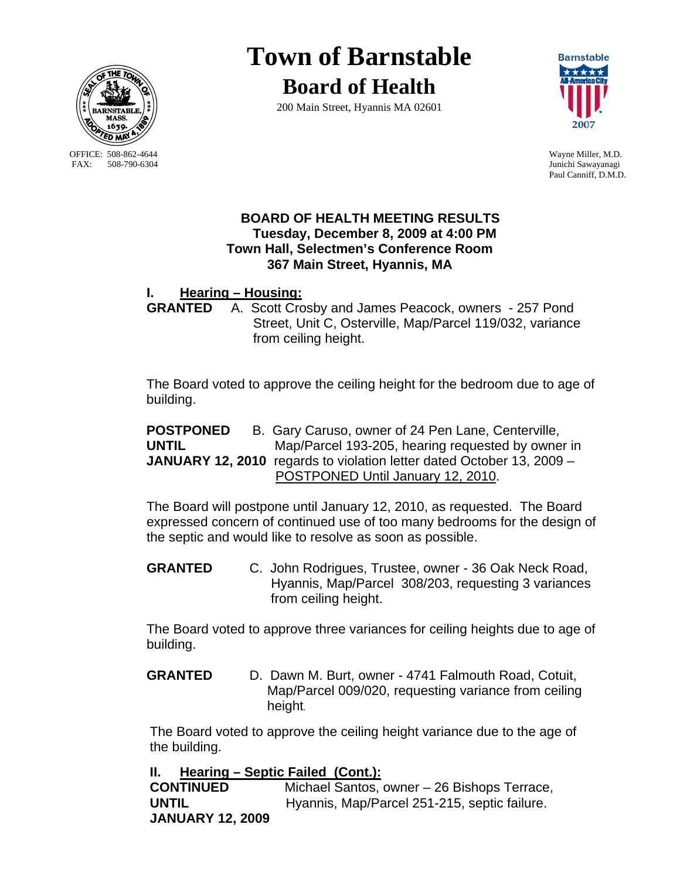

OFFICE: 508-862-4644 Wayne Miller, M.D.<br>
FAX: 508-790-6304 Junichi Sawavanagi

# **Town of Barnstable Board of Health**

200 Main Street, Hyannis MA 02601



Junichi Sawayanagi Paul Canniff, D.M.D.

### **BOARD OF HEALTH MEETING RESULTS Tuesday, December 8, 2009 at 4:00 PM Town Hall, Selectmen's Conference Room 367 Main Street, Hyannis, MA**

# **I. Hearing – Housing:**

 **GRANTED** A. Scott Crosby and James Peacock, owners - 257 Pond Street, Unit C, Osterville, Map/Parcel 119/032, variance from ceiling height.

The Board voted to approve the ceiling height for the bedroom due to age of building.

**POSTPONED** B. Gary Caruso, owner of 24 Pen Lane, Centerville, **UNTIL** Map/Parcel 193-205, hearing requested by owner in **JANUARY 12, 2010** regards to violation letter dated October 13, 2009 – POSTPONED Until January 12, 2010.

The Board will postpone until January 12, 2010, as requested. The Board expressed concern of continued use of too many bedrooms for the design of the septic and would like to resolve as soon as possible.

**GRANTED** C. John Rodrigues, Trustee, owner - 36 Oak Neck Road, Hyannis, Map/Parcel 308/203, requesting 3 variances from ceiling height.

The Board voted to approve three variances for ceiling heights due to age of building.

**GRANTED** D. Dawn M. Burt, owner - 4741 Falmouth Road, Cotuit, Map/Parcel 009/020, requesting variance from ceiling height.

The Board voted to approve the ceiling height variance due to the age of the building.

## **II. Hearing – Septic Failed (Cont.):**

**CONTINUED** Michael Santos, owner – 26 Bishops Terrace, **UNTIL** Hyannis, Map/Parcel 251-215, septic failure. **JANUARY 12, 2009**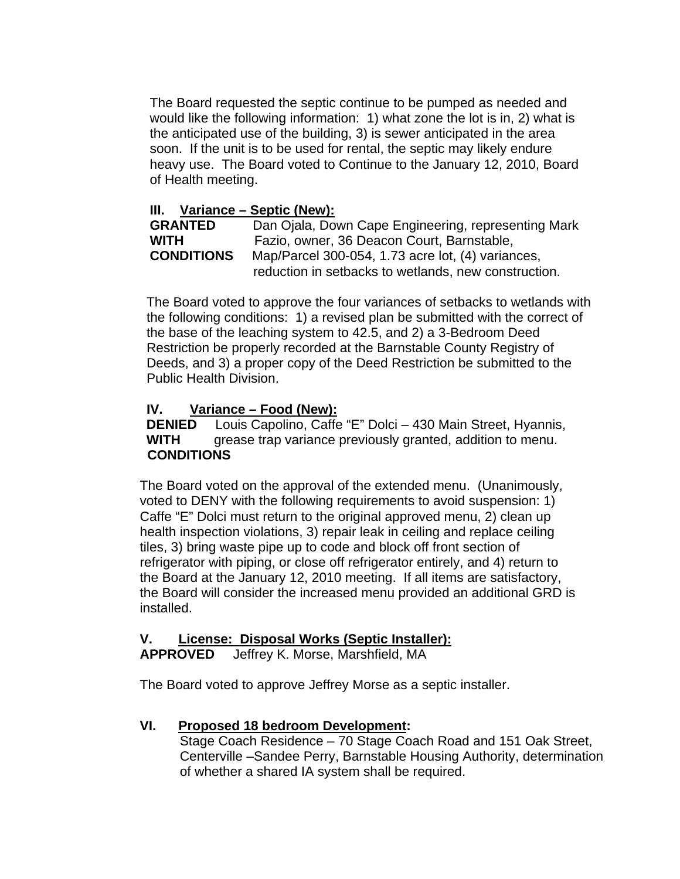The Board requested the septic continue to be pumped as needed and would like the following information: 1) what zone the lot is in, 2) what is the anticipated use of the building, 3) is sewer anticipated in the area soon. If the unit is to be used for rental, the septic may likely endure heavy use. The Board voted to Continue to the January 12, 2010, Board of Health meeting.

### **III. Variance – Septic (New):**

| <b>GRANTED</b>    | Dan Ojala, Down Cape Engineering, representing Mark  |
|-------------------|------------------------------------------------------|
| <b>WITH</b>       | Fazio, owner, 36 Deacon Court, Barnstable,           |
| <b>CONDITIONS</b> | Map/Parcel 300-054, 1.73 acre lot, (4) variances,    |
|                   | reduction in setbacks to wetlands, new construction. |

The Board voted to approve the four variances of setbacks to wetlands with the following conditions: 1) a revised plan be submitted with the correct of the base of the leaching system to 42.5, and 2) a 3-Bedroom Deed Restriction be properly recorded at the Barnstable County Registry of Deeds, and 3) a proper copy of the Deed Restriction be submitted to the Public Health Division.

#### **IV. Variance – Food (New):**

**DENIED** Louis Capolino, Caffe "E" Dolci – 430 Main Street, Hyannis, **WITH** grease trap variance previously granted, addition to menu. **CONDITIONS** 

The Board voted on the approval of the extended menu. (Unanimously, voted to DENY with the following requirements to avoid suspension: 1) Caffe "E" Dolci must return to the original approved menu, 2) clean up health inspection violations, 3) repair leak in ceiling and replace ceiling tiles, 3) bring waste pipe up to code and block off front section of refrigerator with piping, or close off refrigerator entirely, and 4) return to the Board at the January 12, 2010 meeting. If all items are satisfactory, the Board will consider the increased menu provided an additional GRD is installed.

#### **V. License: Disposal Works (Septic Installer): APPROVED** Jeffrey K. Morse, Marshfield, MA

The Board voted to approve Jeffrey Morse as a septic installer.

#### **VI. Proposed 18 bedroom Development:**

 Stage Coach Residence – 70 Stage Coach Road and 151 Oak Street, Centerville –Sandee Perry, Barnstable Housing Authority, determination of whether a shared IA system shall be required.